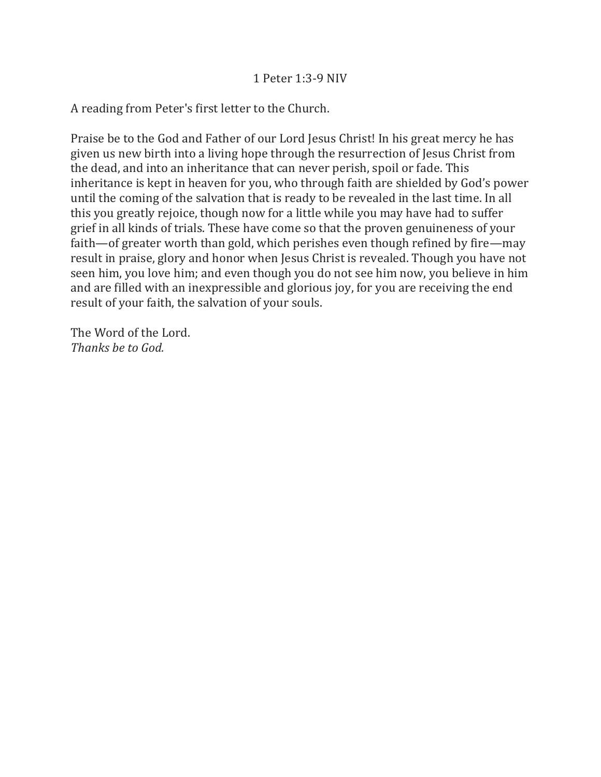A reading from Peter's first letter to the Church.

Praise be to the God and Father of our Lord Jesus Christ! In his great mercy he has given us new birth into a living hope through the resurrection of Jesus Christ from the dead, and into an inheritance that can never perish, spoil or fade. This inheritance is kept in heaven for you, who through faith are shielded by God's power until the coming of the salvation that is ready to be revealed in the last time. In all this you greatly rejoice, though now for a little while you may have had to suffer grief in all kinds of trials. These have come so that the proven genuineness of your faith—of greater worth than gold, which perishes even though refined by fire—may result in praise, glory and honor when Jesus Christ is revealed. Though you have not seen him, you love him; and even though you do not see him now, you believe in him and are filled with an inexpressible and glorious joy, for you are receiving the end result of your faith, the salvation of your souls.

The Word of the Lord. *Thanks be to God.*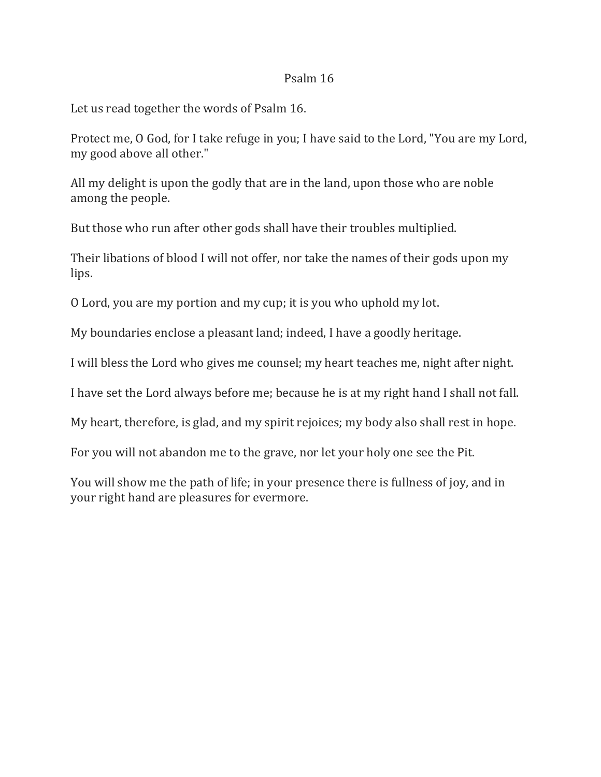## Psalm 16

Let us read together the words of Psalm 16.

Protect me, O God, for I take refuge in you; I have said to the Lord, "You are my Lord, my good above all other."

All my delight is upon the godly that are in the land, upon those who are noble among the people.

But those who run after other gods shall have their troubles multiplied.

Their libations of blood I will not offer, nor take the names of their gods upon my lips.

O Lord, you are my portion and my cup; it is you who uphold my lot.

My boundaries enclose a pleasant land; indeed, I have a goodly heritage.

I will bless the Lord who gives me counsel; my heart teaches me, night after night.

I have set the Lord always before me; because he is at my right hand I shall not fall.

My heart, therefore, is glad, and my spirit rejoices; my body also shall rest in hope.

For you will not abandon me to the grave, nor let your holy one see the Pit.

You will show me the path of life; in your presence there is fullness of joy, and in your right hand are pleasures for evermore.